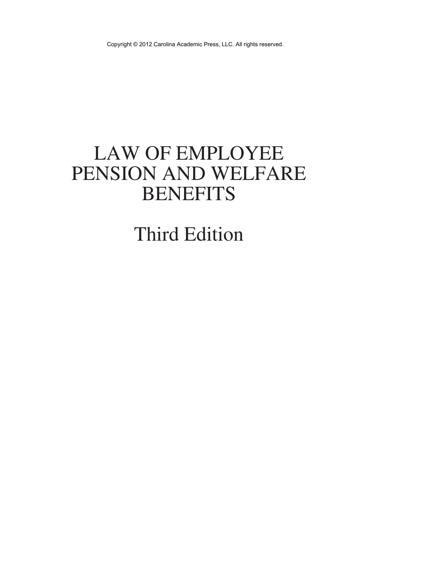# LAW OF EMPLOYEE PENSION AND WELFARE BENEFITS

# Third Edition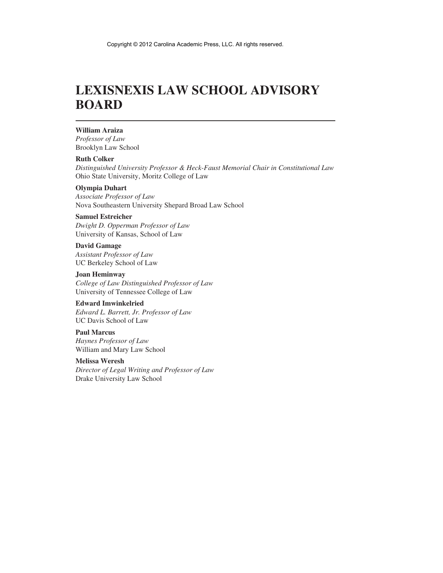## **LEXISNEXIS LAW SCHOOL ADVISORY BOARD**

#### **William Araiza**

*Professor of Law* Brooklyn Law School

#### **Ruth Colker**

*Distinguished University Professor & Heck-Faust Memorial Chair in Constitutional Law* Ohio State University, Moritz College of Law

#### **Olympia Duhart**

*Associate Professor of Law* Nova Southeastern University Shepard Broad Law School

#### **Samuel Estreicher**

*Dwight D. Opperman Professor of Law* University of Kansas, School of Law

**David Gamage** *Assistant Professor of Law* UC Berkeley School of Law

**Joan Heminway** *College of Law Distinguished Professor of Law* University of Tennessee College of Law

#### **Edward Imwinkelried**

*Edward L. Barrett, Jr. Professor of Law* UC Davis School of Law

#### **Paul Marcus**

*Haynes Professor of Law* William and Mary Law School

#### **Melissa Weresh**

*Director of Legal Writing and Professor of Law* Drake University Law School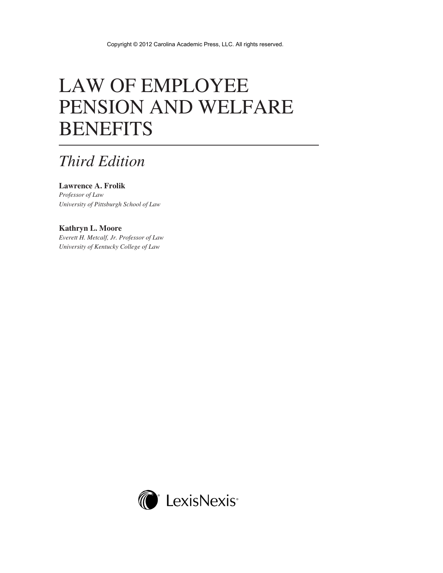# LAW OF EMPLOYEE PENSION AND WELFARE BENEFITS

## *Third Edition*

**Lawrence A. Frolik** *Professor of Law University of Pittsburgh School of Law*

**Kathryn L. Moore** *Everett H. Metcalf, Jr. Professor of Law University of Kentucky College of Law*

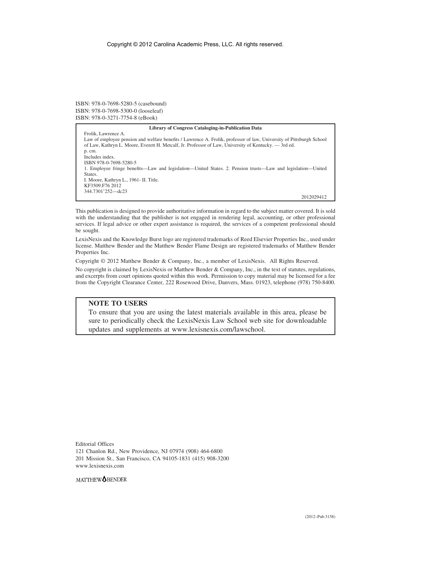ISBN: 978-0-7698-5280-5 (casebound) ISBN: 978-0-7698-5300-0 (looseleaf) ISBN: 978-0-3271-7754-8 (eBook)

**Library of Congress Cataloging-in-Publication Data** Frolik, Lawrence A. Law of employee pension and welfare benefits / Lawrence A. Frolik, professor of law, University of Pittsburgh School of Law, Kathryn L. Moore, Everett H. Metcalf, Jr. Professor of Law, University of Kentucky. — 3rd ed. p. cm. Includes index. ISBN 978-0-7698-5280-5 1. Employee fringe benefits—Law and legislation—United States. 2. Pension trusts—Law and legislation—United States. I. Moore, Kathryn L., 1961- II. Title. KF3509.F76 2012 344.7301'252—dc23 2012029412

This publication is designed to provide authoritative information in regard to the subject matter covered. It is sold with the understanding that the publisher is not engaged in rendering legal, accounting, or other professional services. If legal advice or other expert assistance is required, the services of a competent professional should be sought.

LexisNexis and the Knowledge Burst logo are registered trademarks of Reed Elsevier Properties Inc., used under license. Matthew Bender and the Matthew Bender Flame Design are registered trademarks of Matthew Bender Properties Inc.

Copyright © 2012 Matthew Bender & Company, Inc., a member of LexisNexis. All Rights Reserved.

No copyright is claimed by LexisNexis or Matthew Bender & Company, Inc., in the text of statutes, regulations, and excerpts from court opinions quoted within this work. Permission to copy material may be licensed for a fee from the Copyright Clearance Center, 222 Rosewood Drive, Danvers, Mass. 01923, telephone (978) 750-8400.

#### **NOTE TO USERS**

To ensure that you are using the latest materials available in this area, please be sure to periodically check the LexisNexis Law School web site for downloadable updates and supplements at www.lexisnexis.com/lawschool.

Editorial Offices 121 Chanlon Rd., New Providence, NJ 07974 (908) 464-6800 201 Mission St., San Francisco, CA 94105-1831 (415) 908-3200 www.lexisnexis.com

MATTHEW<sup>O</sup>BENDER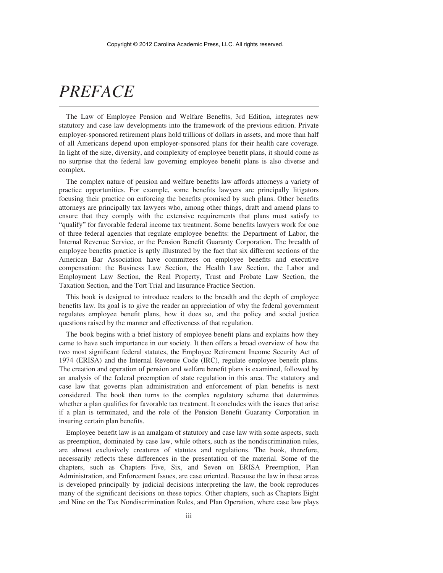## *PREFACE*

The Law of Employee Pension and Welfare Benefits, 3rd Edition, integrates new statutory and case law developments into the framework of the previous edition. Private employer-sponsored retirement plans hold trillions of dollars in assets, and more than half of all Americans depend upon employer-sponsored plans for their health care coverage. In light of the size, diversity, and complexity of employee benefit plans, it should come as no surprise that the federal law governing employee benefit plans is also diverse and complex.

The complex nature of pension and welfare benefits law affords attorneys a variety of practice opportunities. For example, some benefits lawyers are principally litigators focusing their practice on enforcing the benefits promised by such plans. Other benefits attorneys are principally tax lawyers who, among other things, draft and amend plans to ensure that they comply with the extensive requirements that plans must satisfy to "qualify" for favorable federal income tax treatment. Some benefits lawyers work for one of three federal agencies that regulate employee benefits: the Department of Labor, the Internal Revenue Service, or the Pension Benefit Guaranty Corporation. The breadth of employee benefits practice is aptly illustrated by the fact that six different sections of the American Bar Association have committees on employee benefits and executive compensation: the Business Law Section, the Health Law Section, the Labor and Employment Law Section, the Real Property, Trust and Probate Law Section, the Taxation Section, and the Tort Trial and Insurance Practice Section.

This book is designed to introduce readers to the breadth and the depth of employee benefits law. Its goal is to give the reader an appreciation of why the federal government regulates employee benefit plans, how it does so, and the policy and social justice questions raised by the manner and effectiveness of that regulation.

The book begins with a brief history of employee benefit plans and explains how they came to have such importance in our society. It then offers a broad overview of how the two most significant federal statutes, the Employee Retirement Income Security Act of 1974 (ERISA) and the Internal Revenue Code (IRC), regulate employee benefit plans. The creation and operation of pension and welfare benefit plans is examined, followed by an analysis of the federal preemption of state regulation in this area. The statutory and case law that governs plan administration and enforcement of plan benefits is next considered. The book then turns to the complex regulatory scheme that determines whether a plan qualifies for favorable tax treatment. It concludes with the issues that arise if a plan is terminated, and the role of the Pension Benefit Guaranty Corporation in insuring certain plan benefits.

Employee benefit law is an amalgam of statutory and case law with some aspects, such as preemption, dominated by case law, while others, such as the nondiscrimination rules, are almost exclusively creatures of statutes and regulations. The book, therefore, necessarily reflects these differences in the presentation of the material. Some of the chapters, such as Chapters Five, Six, and Seven on ERISA Preemption, Plan Administration, and Enforcement Issues, are case oriented. Because the law in these areas is developed principally by judicial decisions interpreting the law, the book reproduces many of the significant decisions on these topics. Other chapters, such as Chapters Eight and Nine on the Tax Nondiscrimination Rules, and Plan Operation, where case law plays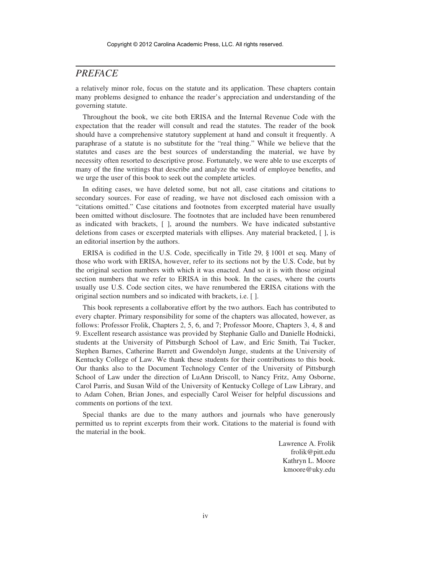### *PREFACE*

a relatively minor role, focus on the statute and its application. These chapters contain many problems designed to enhance the reader's appreciation and understanding of the governing statute.

Throughout the book, we cite both ERISA and the Internal Revenue Code with the expectation that the reader will consult and read the statutes. The reader of the book should have a comprehensive statutory supplement at hand and consult it frequently. A paraphrase of a statute is no substitute for the "real thing." While we believe that the statutes and cases are the best sources of understanding the material, we have by necessity often resorted to descriptive prose. Fortunately, we were able to use excerpts of many of the fine writings that describe and analyze the world of employee benefits, and we urge the user of this book to seek out the complete articles.

In editing cases, we have deleted some, but not all, case citations and citations to secondary sources. For ease of reading, we have not disclosed each omission with a "citations omitted." Case citations and footnotes from excerpted material have usually been omitted without disclosure. The footnotes that are included have been renumbered as indicated with brackets, [ ], around the numbers. We have indicated substantive deletions from cases or excerpted materials with ellipses. Any material bracketed, [ ], is an editorial insertion by the authors.

ERISA is codified in the U.S. Code, specifically in Title 29, § 1001 et seq. Many of those who work with ERISA, however, refer to its sections not by the U.S. Code, but by the original section numbers with which it was enacted. And so it is with those original section numbers that we refer to ERISA in this book. In the cases, where the courts usually use U.S. Code section cites, we have renumbered the ERISA citations with the original section numbers and so indicated with brackets, i.e. [ ].

This book represents a collaborative effort by the two authors. Each has contributed to every chapter. Primary responsibility for some of the chapters was allocated, however, as follows: Professor Frolik, Chapters 2, 5, 6, and 7; Professor Moore, Chapters 3, 4, 8 and 9. Excellent research assistance was provided by Stephanie Gallo and Danielle Hodnicki, students at the University of Pittsburgh School of Law, and Eric Smith, Tai Tucker, Stephen Barnes, Catherine Barrett and Gwendolyn Junge, students at the University of Kentucky College of Law. We thank these students for their contributions to this book. Our thanks also to the Document Technology Center of the University of Pittsburgh School of Law under the direction of LuAnn Driscoll, to Nancy Fritz, Amy Osborne, Carol Parris, and Susan Wild of the University of Kentucky College of Law Library, and to Adam Cohen, Brian Jones, and especially Carol Weiser for helpful discussions and comments on portions of the text.

Special thanks are due to the many authors and journals who have generously permitted us to reprint excerpts from their work. Citations to the material is found with the material in the book.

> Lawrence A. Frolik frolik@pitt.edu Kathryn L. Moore kmoore@uky.edu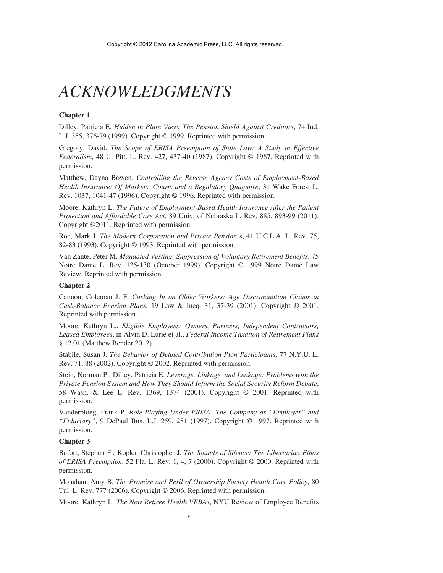# *ACKNOWLEDGMENTS*

#### **Chapter 1**

Dilley, Patricia E. *Hidden in Plain View: The Pension Shield Against Creditors*, 74 Ind. L.J. 355, 376-79 (1999). Copyright © 1999. Reprinted with permission.

Gregory, David. *The Scope of ERISA Preemption of State Law: A Study in Effective Federalism*, 48 U. Pitt. L. Rev. 427, 437-40 (1987). Copyright © 1987. Reprinted with permission.

Matthew, Dayna Bowen. *Controlling the Reverse Agency Costs of Employment-Based Health Insurance: Of Markets, Courts and a Regulatory Quagmire*, 31 Wake Forest L. Rev. 1037, 1041-47 (1996). Copyright © 1996. Reprinted with permission.

Moore, Kathryn L. *The Future of Employment-Based Health Insurance After the Patient Protection and Affordable Care Act*, 89 Univ. of Nebraska L. Rev. 885, 893-99 (2011). Copyright ©2011. Reprinted with permission.

Roe, Mark J. *The Modern Corporation and Private Pension* s, 41 U.C.L.A. L. Rev. 75, 82-83 (1993). Copyright © 1993. Reprinted with permission.

Van Zante, Peter M. *Mandated Vesting: Suppression of Voluntary Retirement Benefits*, 75 Notre Dame L. Rev. 125-130 (October 1999). Copyright © 1999 Notre Dame Law Review. Reprinted with permission.

#### **Chapter 2**

Cannon, Coleman J. F. *Cashing In on Older Workers: Age Discrimination Claims in Cash-Balance Pension Plans*, 19 Law & Ineq. 31, 37-39 (2001). Copyright © 2001. Reprinted with permission.

Moore, Kathryn L., *Eligible Employees: Owners, Partners, Independent Contractors, Leased Employees*, in Alvin D. Lurie et al., *Federal Income Taxation of Retirement Plans* § 12.01 (Matthew Bender 2012).

Stabile, Susan J. *The Behavior of Defined Contribution Plan Participants*, 77 N.Y.U. L. Rev. 71, 88 (2002). Copyright © 2002. Reprinted with permission.

Stein, Norman P.; Dilley, Patricia E. *Leverage, Linkage, and Leakage: Problems with the Private Pension System and How They Should Inform the Social Security Reform Debate*, 58 Wash. & Lee L. Rev. 1369, 1374 (2001). Copyright © 2001. Reprinted with permission.

Vanderploeg, Frank P. *Role-Playing Under ERISA: The Company as "Employer" and "Fiduciary"*, 9 DePaul Bus. L.J. 259, 281 (1997). Copyright © 1997. Reprinted with permission.

#### **Chapter 3**

Befort, Stephen F.; Kopka, Christopher J. *The Sounds of Silence: The Libertarian Ethos of ERISA Preemption*, 52 Fla. L. Rev. 1, 4, 7 (2000). Copyright © 2000. Reprinted with permission.

Monahan, Amy B. *The Promise and Peril of Ownership Society Health Care Policy*, 80 Tul. L. Rev. 777 (2006). Copyright © 2006. Reprinted with permission.

Moore, Kathryn L. *The New Retiree Health VEBAs*, NYU Review of Employee Benefits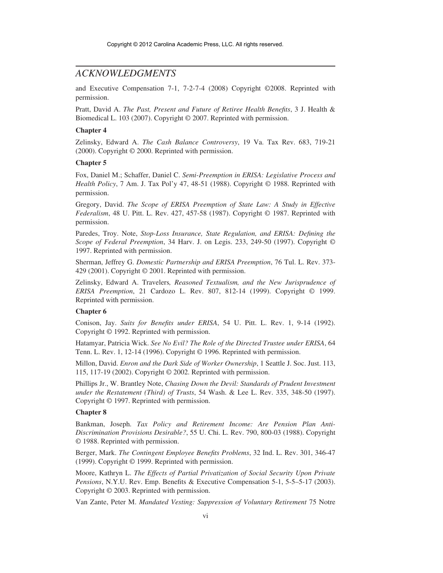### *ACKNOWLEDGMENTS*

and Executive Compensation 7-1, 7-2-7-4 (2008) Copyright ©2008. Reprinted with permission.

Pratt, David A. *The Past, Present and Future of Retiree Health Benefits*, 3 J. Health & Biomedical L. 103 (2007). Copyright © 2007. Reprinted with permission.

#### **Chapter 4**

Zelinsky, Edward A. *The Cash Balance Controversy*, 19 Va. Tax Rev. 683, 719-21 (2000). Copyright © 2000. Reprinted with permission.

#### **Chapter 5**

Fox, Daniel M.; Schaffer, Daniel C. *Semi-Preemption in ERISA: Legislative Process and Health Policy*, 7 Am. J. Tax Pol'y 47, 48-51 (1988). Copyright © 1988. Reprinted with permission.

Gregory, David. *The Scope of ERISA Preemption of State Law: A Study in Effective Federalism*, 48 U. Pitt. L. Rev. 427, 457-58 (1987). Copyright © 1987. Reprinted with permission.

Paredes, Troy. Note, *Stop-Loss Insurance, State Regulation, and ERISA: Defining the Scope of Federal Preemption*, 34 Harv. J. on Legis. 233, 249-50 (1997). Copyright © 1997. Reprinted with permission.

Sherman, Jeffrey G. *Domestic Partnership and ERISA Preemption*, 76 Tul. L. Rev. 373- 429 (2001). Copyright © 2001. Reprinted with permission.

Zelinsky, Edward A. Travelers*, Reasoned Textualism, and the New Jurisprudence of ERISA Preemption*, 21 Cardozo L. Rev. 807, 812-14 (1999). Copyright © 1999. Reprinted with permission.

#### **Chapter 6**

Conison, Jay. *Suits for Benefits under ERISA*, 54 U. Pitt. L. Rev. 1, 9-14 (1992). Copyright © 1992. Reprinted with permission.

Hatamyar, Patricia Wick. *See No Evil? The Role of the Directed Trustee under ERISA*, 64 Tenn. L. Rev. 1, 12-14 (1996). Copyright © 1996. Reprinted with permission.

Millon, David. *Enron and the Dark Side of Worker Ownership*, 1 Seattle J. Soc. Just. 113, 115, 117-19 (2002). Copyright © 2002. Reprinted with permission.

Phillips Jr., W. Brantley Note, *Chasing Down the Devil: Standards of Prudent Investment under the Restatement (Third) of Trusts*, 54 Wash. & Lee L. Rev. 335, 348-50 (1997). Copyright © 1997. Reprinted with permission.

#### **Chapter 8**

Bankman, Joseph. *Tax Policy and Retirement Income: Are Pension Plan Anti-Discrimination Provisions Desirable?*, 55 U. Chi. L. Rev. 790, 800-03 (1988). Copyright © 1988. Reprinted with permission.

Berger, Mark. *The Contingent Employee Benefits Problems*, 32 Ind. L. Rev. 301, 346-47 (1999). Copyright © 1999. Reprinted with permission.

Moore, Kathryn L. *The Effects of Partial Privatization of Social Security Upon Private Pensions*, N.Y.U. Rev. Emp. Benefits & Executive Compensation 5-1, 5-5–5-17 (2003). Copyright © 2003. Reprinted with permission.

Van Zante, Peter M. *Mandated Vesting: Suppression of Voluntary Retirement* 75 Notre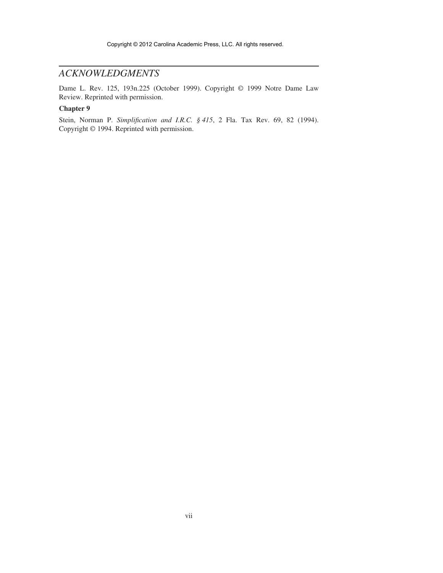### *ACKNOWLEDGMENTS*

Dame L. Rev. 125, 193n.225 (October 1999). Copyright © 1999 Notre Dame Law Review. Reprinted with permission.

#### **Chapter 9**

Stein, Norman P. *Simplification and I.R.C. § 415*, 2 Fla. Tax Rev. 69, 82 (1994). Copyright © 1994. Reprinted with permission.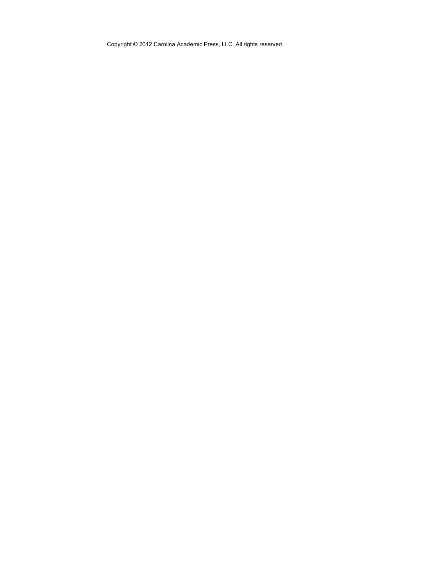Copyright © 2012 Carolina Academic Press, LLC. All rights reserved.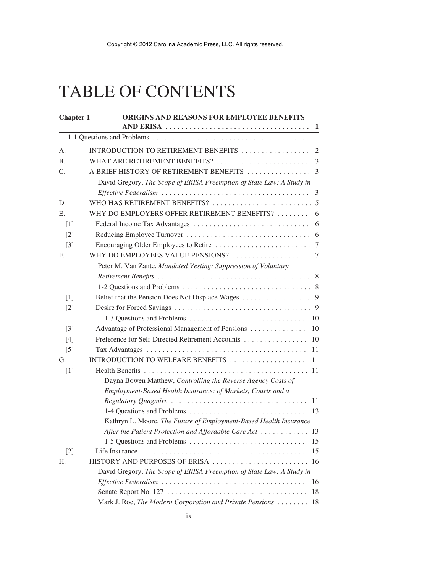| <b>Chapter 1</b>  | ORIGINS AND REASONS FOR EMPLOYEE BENEFITS                                                                                     | -1             |
|-------------------|-------------------------------------------------------------------------------------------------------------------------------|----------------|
|                   |                                                                                                                               |                |
|                   |                                                                                                                               |                |
| А.                | INTRODUCTION TO RETIREMENT BENEFITS                                                                                           | $\overline{2}$ |
| <b>B.</b>         | WHAT ARE RETIREMENT BENEFITS?                                                                                                 | 3              |
| C.                |                                                                                                                               |                |
|                   | David Gregory, The Scope of ERISA Preemption of State Law: A Study in                                                         |                |
|                   |                                                                                                                               |                |
| D.                |                                                                                                                               |                |
| Е.                | WHY DO EMPLOYERS OFFER RETIREMENT BENEFITS?                                                                                   | 6              |
| [1]               |                                                                                                                               |                |
| $\lceil 2 \rceil$ |                                                                                                                               |                |
| $\lceil 3 \rceil$ |                                                                                                                               |                |
| F.                |                                                                                                                               |                |
|                   | Peter M. Van Zante, Mandated Vesting: Suppression of Voluntary                                                                |                |
|                   |                                                                                                                               |                |
|                   |                                                                                                                               |                |
| [1]               |                                                                                                                               |                |
| $\lceil 2 \rceil$ |                                                                                                                               |                |
|                   |                                                                                                                               | 10             |
| $\lceil 3 \rceil$ | Advantage of Professional Management of Pensions                                                                              | 10             |
| [4]               | Preference for Self-Directed Retirement Accounts                                                                              | 10             |
| $\lceil 5 \rceil$ |                                                                                                                               | 11             |
| G.                | INTRODUCTION TO WELFARE BENEFITS                                                                                              | 11             |
| $[1]$             |                                                                                                                               |                |
|                   | Dayna Bowen Matthew, Controlling the Reverse Agency Costs of                                                                  |                |
|                   | Employment-Based Health Insurance: of Markets, Courts and a                                                                   |                |
|                   |                                                                                                                               | 13             |
|                   |                                                                                                                               |                |
|                   | Kathryn L. Moore, The Future of Employment-Based Health Insurance<br>After the Patient Protection and Affordable Care Act  13 |                |
|                   | 1-5 Questions and Problems                                                                                                    | 15             |
| $\lceil 2 \rceil$ |                                                                                                                               | 15             |
| Η.                | HISTORY AND PURPOSES OF ERISA                                                                                                 | 16             |
|                   | David Gregory, The Scope of ERISA Preemption of State Law: A Study in                                                         |                |
|                   |                                                                                                                               | 16             |
|                   |                                                                                                                               | 18             |
|                   | Mark J. Roe, The Modern Corporation and Private Pensions  18                                                                  |                |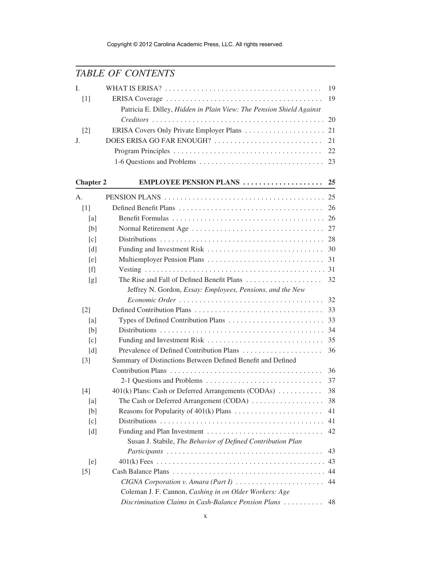| L.                |                                                                      | 19 |
|-------------------|----------------------------------------------------------------------|----|
| $[1]$             |                                                                      | 19 |
|                   | Patricia E. Dilley, Hidden in Plain View: The Pension Shield Against |    |
|                   |                                                                      |    |
| $[2]$             |                                                                      |    |
| J.                | DOES ERISA GO FAR ENOUGH?                                            | 21 |
|                   |                                                                      | 22 |
|                   |                                                                      |    |
| <b>Chapter 2</b>  |                                                                      |    |
|                   |                                                                      |    |
| А.                |                                                                      |    |
| [1]               |                                                                      | 26 |
| [a]               |                                                                      |    |
| [b]               |                                                                      |    |
| [c]               |                                                                      |    |
| [d]               |                                                                      |    |
| [e]               |                                                                      |    |
| [f]               |                                                                      |    |
| [g]               |                                                                      | 32 |
|                   | Jeffrey N. Gordon, Essay: Employees, Pensions, and the New           |    |
|                   |                                                                      |    |
| $\lceil 2 \rceil$ |                                                                      | 33 |
| [a]               |                                                                      | 33 |
| [b]               |                                                                      |    |
| [c]               |                                                                      | 35 |
| [d]               | Prevalence of Defined Contribution Plans                             | 36 |
| $[3]$             | Summary of Distinctions Between Defined Benefit and Defined          |    |
|                   |                                                                      | 36 |
|                   |                                                                      | 37 |
| [4]               | $401(k)$ Plans: Cash or Deferred Arrangements (CODAs)                | 38 |
| [a]               |                                                                      |    |
| [b]               | Reasons for Popularity of 401(k) Plans                               | 41 |
| [c]               |                                                                      | 41 |
| [d]               |                                                                      | 42 |
|                   | Susan J. Stabile, The Behavior of Defined Contribution Plan          |    |
|                   |                                                                      | 43 |
| [e]               |                                                                      | 43 |
| $[5]$             |                                                                      | 44 |
|                   | CIGNA Corporation v. Amara (Part I)                                  | 44 |
|                   | Coleman J. F. Cannon, Cashing in on Older Workers: Age               |    |
|                   | Discrimination Claims in Cash-Balance Pension Plans                  | 48 |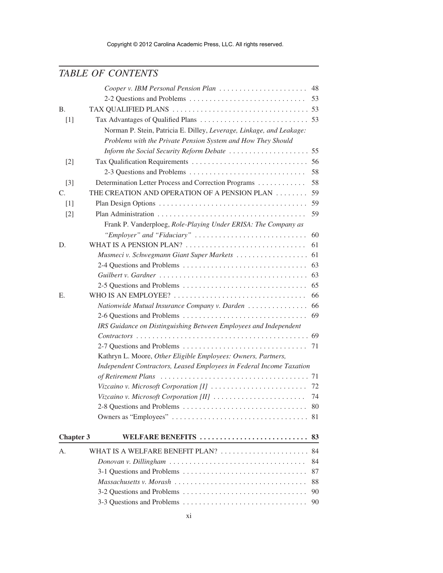|                   | Cooper v. IBM Personal Pension Plan                                                                              | 48 |
|-------------------|------------------------------------------------------------------------------------------------------------------|----|
|                   |                                                                                                                  |    |
| <b>B.</b>         |                                                                                                                  |    |
| $[1]$             |                                                                                                                  |    |
|                   | Norman P. Stein, Patricia E. Dilley, Leverage, Linkage, and Leakage:                                             |    |
|                   | Problems with the Private Pension System and How They Should                                                     |    |
|                   |                                                                                                                  |    |
| $[2]$             |                                                                                                                  |    |
|                   |                                                                                                                  | 58 |
| $\lceil 3 \rceil$ | Determination Letter Process and Correction Programs                                                             | 58 |
| $C_{\cdot}$       | THE CREATION AND OPERATION OF A PENSION PLAN                                                                     | 59 |
| [1]               |                                                                                                                  |    |
| $\lceil 2 \rceil$ |                                                                                                                  | 59 |
|                   | Frank P. Vanderploeg, Role-Playing Under ERISA: The Company as                                                   |    |
|                   | "Employer" and "Fiduciary"                                                                                       | 60 |
| D.                | WHAT IS A PENSION PLAN?                                                                                          | 61 |
|                   | Musmeci v. Schwegmann Giant Super Markets                                                                        | 61 |
|                   |                                                                                                                  | 63 |
|                   |                                                                                                                  |    |
|                   |                                                                                                                  | 65 |
| Ε.                |                                                                                                                  | 66 |
|                   | Nationwide Mutual Insurance Company v. Darden                                                                    | 66 |
|                   |                                                                                                                  |    |
|                   | IRS Guidance on Distinguishing Between Employees and Independent                                                 |    |
|                   |                                                                                                                  |    |
|                   |                                                                                                                  |    |
|                   | Kathryn L. Moore, Other Eligible Employees: Owners, Partners,                                                    |    |
|                   | Independent Contractors, Leased Employees in Federal Income Taxation                                             |    |
|                   | of Retirement Plans $\ldots \ldots \ldots \ldots \ldots \ldots \ldots \ldots \ldots \ldots \ldots \ldots \ldots$ |    |
|                   |                                                                                                                  |    |
|                   |                                                                                                                  |    |
|                   |                                                                                                                  |    |
|                   |                                                                                                                  |    |
| <b>Chapter 3</b>  |                                                                                                                  |    |
| А.                | WHAT IS A WELFARE BENEFIT PLAN?                                                                                  | 84 |
|                   |                                                                                                                  | 84 |
|                   |                                                                                                                  | 87 |
|                   |                                                                                                                  | 88 |
|                   |                                                                                                                  | 90 |
|                   |                                                                                                                  | 90 |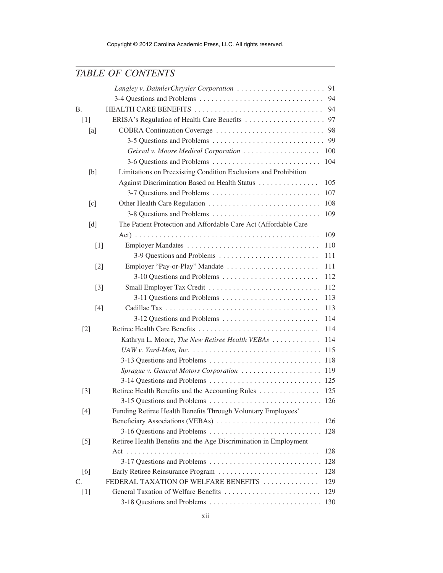|                   | Langley v. DaimlerChrysler Corporation                           | 91  |
|-------------------|------------------------------------------------------------------|-----|
|                   |                                                                  | 94  |
| <b>B.</b>         | HEALTH CARE BENEFITS                                             | 94  |
| $[1]$             | ERISA's Regulation of Health Care Benefits                       | 97  |
| [a]               | COBRA Continuation Coverage                                      | 98  |
|                   |                                                                  | 99  |
|                   |                                                                  |     |
|                   |                                                                  | 104 |
| [b]               | Limitations on Preexisting Condition Exclusions and Prohibition  |     |
|                   | Against Discrimination Based on Health Status                    | 105 |
|                   |                                                                  | 107 |
| [c]               |                                                                  | 108 |
|                   |                                                                  | 109 |
| [d]               | The Patient Protection and Affordable Care Act (Affordable Care  |     |
|                   |                                                                  | 109 |
| $[1]$             |                                                                  | 110 |
|                   |                                                                  | 111 |
| $[2]$             | Employer "Pay-or-Play" Mandate                                   | 111 |
|                   | 3-10 Questions and Problems                                      | 112 |
| $\lceil 3 \rceil$ |                                                                  | 112 |
|                   | 3-11 Questions and Problems                                      | 113 |
| $[4]$             |                                                                  | 113 |
|                   | 3-12 Questions and Problems                                      | 114 |
| $\lceil 2 \rceil$ |                                                                  | 114 |
|                   | Kathryn L. Moore, The New Retiree Health VEBAs                   | 114 |
|                   |                                                                  |     |
|                   |                                                                  |     |
|                   |                                                                  |     |
|                   |                                                                  |     |
| $[3]$             | Retiree Health Benefits and the Accounting Rules                 | 125 |
|                   |                                                                  |     |
| $[4]$             | Funding Retiree Health Benefits Through Voluntary Employees'     |     |
|                   | Beneficiary Associations (VEBAs)                                 | 126 |
|                   |                                                                  |     |
| $[5]$             | Retiree Health Benefits and the Age Discrimination in Employment |     |
|                   |                                                                  | 128 |
|                   | 3-17 Questions and Problems                                      | 128 |
| [6]               | Early Retiree Reinsurance Program                                | 128 |
| C.                | FEDERAL TAXATION OF WELFARE BENEFITS                             | 129 |
| $[1]$             | General Taxation of Welfare Benefits                             | 129 |
|                   |                                                                  |     |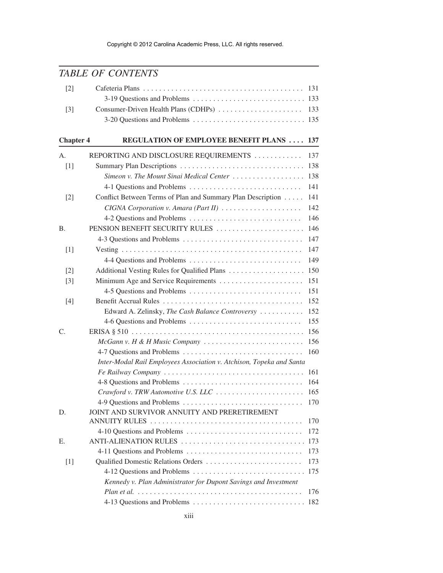| $[2]$            |                                                                      |     |
|------------------|----------------------------------------------------------------------|-----|
|                  |                                                                      |     |
| $[3]$            | Consumer-Driven Health Plans (CDHPs)                                 | 133 |
|                  |                                                                      |     |
| <b>Chapter 4</b> | <b>REGULATION OF EMPLOYEE BENEFIT PLANS</b>                          | 137 |
| А.               | REPORTING AND DISCLOSURE REQUIREMENTS                                | 137 |
| $[1]$            |                                                                      | 138 |
|                  | Simeon v. The Mount Sinai Medical Center                             | 138 |
|                  |                                                                      | 141 |
| $[2]$            | Conflict Between Terms of Plan and Summary Plan Description          | 141 |
|                  | CIGNA Corporation v. Amara (Part II)                                 | 142 |
|                  | 4-2 Questions and Problems                                           | 146 |
| <b>B.</b>        | PENSION BENEFIT SECURITY RULES                                       | 146 |
|                  |                                                                      | 147 |
| $[1]$            |                                                                      | 147 |
|                  |                                                                      | 149 |
| $[2]$            | Additional Vesting Rules for Qualified Plans                         | 150 |
| $[3]$            | Minimum Age and Service Requirements                                 | 151 |
|                  | 4-5 Questions and Problems                                           | 151 |
| $[4]$            |                                                                      | 152 |
|                  | Edward A. Zelinsky, The Cash Balance Controversy                     | 152 |
|                  |                                                                      | 155 |
| C.               |                                                                      | 156 |
|                  |                                                                      | 156 |
|                  |                                                                      | 160 |
|                  | Inter-Modal Rail Employees Association v. Atchison, Topeka and Santa |     |
|                  |                                                                      | 161 |
|                  |                                                                      | 164 |
|                  |                                                                      | 165 |
|                  |                                                                      | 170 |
| D.               | JOINT AND SURVIVOR ANNUITY AND PRERETIREMENT                         | 170 |
|                  |                                                                      | 172 |
| Ε.               | ANTI-ALIENATION RULES                                                | 173 |
|                  | 4-11 Questions and Problems                                          | 173 |
| $[1]$            | Qualified Domestic Relations Orders                                  | 173 |
|                  | 4-12 Questions and Problems                                          | 175 |
|                  | Kennedy v. Plan Administrator for Dupont Savings and Investment      |     |
|                  |                                                                      | 176 |
|                  |                                                                      |     |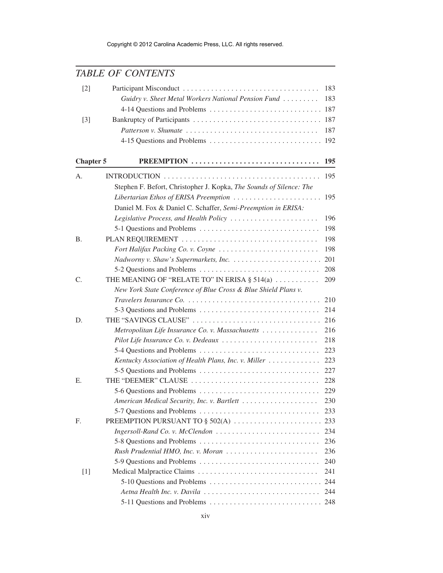| $[2]$            |                                                                                              | 183 |
|------------------|----------------------------------------------------------------------------------------------|-----|
|                  | Guidry v. Sheet Metal Workers National Pension Fund                                          | 183 |
|                  |                                                                                              | 187 |
| $[3]$            |                                                                                              |     |
|                  |                                                                                              | 187 |
|                  |                                                                                              |     |
| <b>Chapter 5</b> | PREEMPTION                                                                                   | 195 |
| А.               |                                                                                              | 195 |
|                  | Stephen F. Befort, Christopher J. Kopka, The Sounds of Silence: The                          |     |
|                  | Libertarian Ethos of ERISA Preemption $\ldots \ldots \ldots \ldots \ldots \ldots \ldots$ 195 |     |
|                  | Daniel M. Fox & Daniel C. Schaffer, Semi-Preemption in ERISA:                                |     |
|                  | Legislative Process, and Health Policy                                                       | 196 |
|                  |                                                                                              | 198 |
| В.               |                                                                                              | 198 |
|                  | Fort Halifax Packing Co. v. Coyne                                                            | 198 |
|                  |                                                                                              | 201 |
|                  |                                                                                              | 208 |
| $\mathcal{C}$ .  | THE MEANING OF "RELATE TO" IN ERISA $\S$ 514(a)                                              | 209 |
|                  | New York State Conference of Blue Cross & Blue Shield Plans v.                               |     |
|                  |                                                                                              | 210 |
|                  |                                                                                              | 214 |
| D.               | THE "SAVINGS CLAUSE"                                                                         | 216 |
|                  | Metropolitan Life Insurance Co. v. Massachusetts                                             | 216 |
|                  | Pilot Life Insurance Co. v. Dedeaux                                                          | 218 |
|                  |                                                                                              | 223 |
|                  | Kentucky Association of Health Plans, Inc. v. Miller                                         | 223 |
|                  |                                                                                              | 227 |
| Ε.               | THE "DEEMER" CLAUSE                                                                          | 228 |
|                  |                                                                                              | 229 |
|                  |                                                                                              | 230 |
|                  |                                                                                              | 233 |
| F.               | PREEMPTION PURSUANT TO $\S$ 502(A)                                                           | 233 |
|                  |                                                                                              | 234 |
|                  |                                                                                              | 236 |
|                  |                                                                                              | 236 |
|                  |                                                                                              | 240 |
| $[1]$            |                                                                                              | 241 |
|                  |                                                                                              | 244 |
|                  | Aetna Health Inc. v. Davila                                                                  | 244 |
|                  |                                                                                              |     |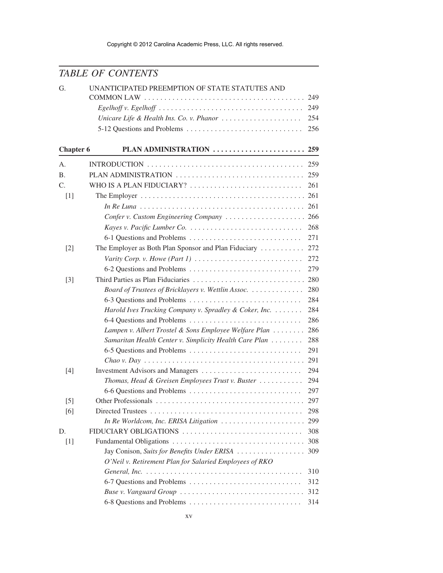| G.               | UNANTICIPATED PREEMPTION OF STATE STATUTES AND                                                           |     |
|------------------|----------------------------------------------------------------------------------------------------------|-----|
|                  |                                                                                                          | 249 |
|                  |                                                                                                          | 249 |
|                  | Unicare Life & Health Ins. Co. v. Phanor $\ldots \ldots \ldots \ldots \ldots \ldots$                     | 254 |
|                  |                                                                                                          | 256 |
| <b>Chapter 6</b> | PLAN ADMINISTRATION  259                                                                                 |     |
| А.               |                                                                                                          | 259 |
| В.               | PLAN ADMINISTRATION                                                                                      | 259 |
| $\mathcal{C}$ .  | WHO IS A PLAN FIDUCIARY?                                                                                 | 261 |
| $[1]$            |                                                                                                          | 261 |
|                  | $In Re Luna  \ldots \ldots \ldots \ldots \ldots \ldots \ldots \ldots \ldots \ldots \ldots \ldots \ldots$ | 261 |
|                  | Confer v. Custom Engineering Company                                                                     | 266 |
|                  | Kayes v. Pacific Lumber Co. $\ldots \ldots \ldots \ldots \ldots \ldots \ldots \ldots \ldots$             | 268 |
|                  |                                                                                                          | 271 |
| $[2]$            | The Employer as Both Plan Sponsor and Plan Fiduciary                                                     | 272 |
|                  | Varity Corp. v. Howe (Part 1) $\ldots \ldots \ldots \ldots \ldots \ldots \ldots \ldots$                  | 272 |
|                  |                                                                                                          | 279 |
| $[3]$            |                                                                                                          | 280 |
|                  | Board of Trustees of Bricklayers v. Wettlin Assoc.                                                       | 280 |
|                  |                                                                                                          | 284 |
|                  | Harold Ives Trucking Company v. Spradley & Coker, Inc.                                                   | 284 |
|                  |                                                                                                          | 286 |
|                  | Lampen v. Albert Trostel & Sons Employee Welfare Plan                                                    | 286 |
|                  | Samaritan Health Center v. Simplicity Health Care Plan                                                   | 288 |
|                  |                                                                                                          | 291 |
|                  | Chao v. Day $\ldots \ldots \ldots \ldots \ldots \ldots \ldots \ldots \ldots \ldots \ldots \ldots \ldots$ | 291 |
| $[4]$            |                                                                                                          | 294 |
|                  | Thomas, Head & Greisen Employees Trust v. Buster                                                         | 294 |
|                  | 6-6 Questions and Problems                                                                               | 297 |
| $[5]$            |                                                                                                          |     |
| [6]              |                                                                                                          | 298 |
|                  | In Re Worldcom, Inc. ERISA Litigation                                                                    | 299 |
| D.               | FIDUCIARY OBLIGATIONS                                                                                    | 308 |
| $[1]$            |                                                                                                          | 308 |
|                  | Jay Conison, Suits for Benefits Under ERISA                                                              | 309 |
|                  | O'Neil v. Retirement Plan for Salaried Employees of RKO                                                  |     |
|                  |                                                                                                          | 310 |
|                  |                                                                                                          | 312 |
|                  | Buse v. Vanguard Group                                                                                   | 312 |
|                  | 6-8 Questions and Problems                                                                               | 314 |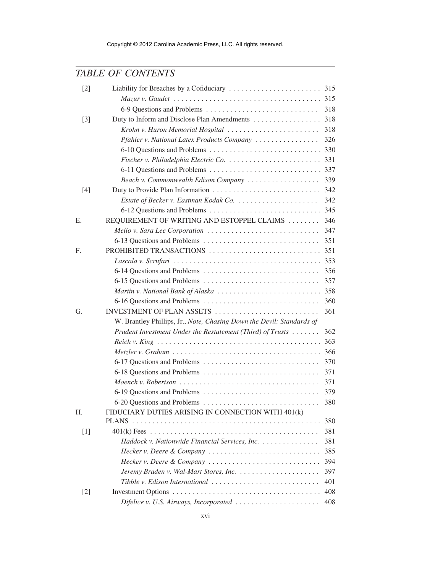| $[2]$ |                                                                                                            |     |
|-------|------------------------------------------------------------------------------------------------------------|-----|
|       |                                                                                                            |     |
|       |                                                                                                            | 318 |
| $[3]$ |                                                                                                            | 318 |
|       | Krohn v. Huron Memorial Hospital                                                                           | 318 |
|       | Pfahler v. National Latex Products Company                                                                 | 326 |
|       |                                                                                                            |     |
|       |                                                                                                            |     |
|       |                                                                                                            |     |
|       | Beach v. Commonwealth Edison Company                                                                       | 339 |
| $[4]$ |                                                                                                            | 342 |
|       |                                                                                                            | 342 |
|       |                                                                                                            |     |
| Е.    | REQUIREMENT OF WRITING AND ESTOPPEL CLAIMS                                                                 | 346 |
|       | Mello v. Sara Lee Corporation $\ldots \ldots \ldots \ldots \ldots \ldots \ldots \ldots \ldots$             | 347 |
|       |                                                                                                            | 351 |
| F.    | PROHIBITED TRANSACTIONS                                                                                    | 351 |
|       |                                                                                                            | 353 |
|       |                                                                                                            | 356 |
|       |                                                                                                            | 357 |
|       | Martin v. National Bank of Alaska                                                                          | 358 |
|       |                                                                                                            | 360 |
| G.    | INVESTMENT OF PLAN ASSETS                                                                                  | 361 |
|       | W. Brantley Phillips, Jr., Note, Chasing Down the Devil: Standards of                                      |     |
|       | Prudent Investment Under the Restatement (Third) of Trusts                                                 | 362 |
|       | $Reich v. King \ldots \ldots \ldots \ldots \ldots \ldots \ldots \ldots \ldots \ldots \ldots \ldots \ldots$ | 363 |
|       |                                                                                                            | 366 |
|       |                                                                                                            | 370 |
|       |                                                                                                            | 371 |
|       |                                                                                                            | 371 |
|       |                                                                                                            | 379 |
|       | 6-20 Questions and Problems                                                                                | 380 |
| Н.    | FIDUCIARY DUTIES ARISING IN CONNECTION WITH 401(k)                                                         |     |
|       |                                                                                                            | 380 |
| $[1]$ |                                                                                                            | 381 |
|       | Haddock v. Nationwide Financial Services, Inc.                                                             | 381 |
|       | Hecker v. Deere & Company                                                                                  | 385 |
|       | Hecker v. Deere & Company                                                                                  | 394 |
|       | Jeremy Braden v. Wal-Mart Stores, Inc.                                                                     | 397 |
|       | Tibble v. Edison International                                                                             | 401 |
| $[2]$ |                                                                                                            | 408 |
|       | Difelice v. U.S. Airways, Incorporated                                                                     | 408 |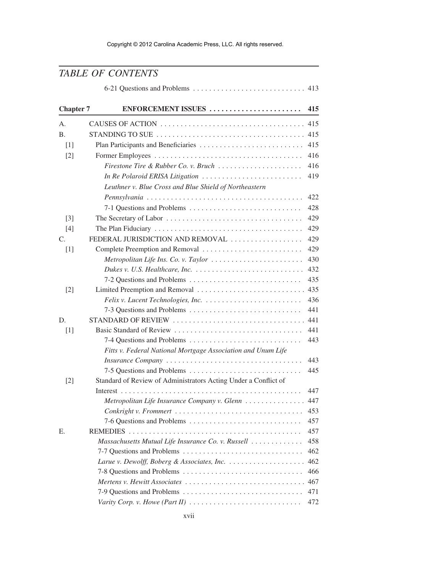| <b>Chapter 7</b>  | ENFORCEMENT ISSUES                                                                              | 415 |
|-------------------|-------------------------------------------------------------------------------------------------|-----|
| А.                |                                                                                                 | 415 |
| <b>B.</b>         |                                                                                                 | 415 |
| [1]               |                                                                                                 | 415 |
| $\lceil 2 \rceil$ |                                                                                                 | 416 |
|                   | Firestone Tire & Rubber Co. v. Bruch                                                            | 416 |
|                   | In Re Polaroid ERISA Litigation $\ldots \ldots \ldots \ldots \ldots \ldots \ldots$              | 419 |
|                   | Leuthner v. Blue Cross and Blue Shield of Northeastern                                          |     |
|                   |                                                                                                 | 422 |
|                   |                                                                                                 | 428 |
| $\lceil 3 \rceil$ |                                                                                                 | 429 |
| $[4]$             |                                                                                                 | 429 |
| $C_{\cdot}$       | FEDERAL JURISDICTION AND REMOVAL                                                                | 429 |
| $[1]$             | Complete Preemption and Removal                                                                 | 429 |
|                   | Metropolitan Life Ins. Co. v. Taylor                                                            | 430 |
|                   | Dukes v. U.S. Healthcare, Inc. $\ldots \ldots \ldots \ldots \ldots \ldots \ldots \ldots \ldots$ | 432 |
|                   |                                                                                                 | 435 |
| $\lceil 2 \rceil$ | Limited Preemption and Removal                                                                  | 435 |
|                   |                                                                                                 | 436 |
|                   | 7-3 Questions and Problems                                                                      | 441 |
| D.                | STANDARD OF REVIEW                                                                              | 441 |
| $[1]$             |                                                                                                 | 441 |
|                   |                                                                                                 | 443 |
|                   | Fitts v. Federal National Mortgage Association and Unum Life                                    |     |
|                   |                                                                                                 | 443 |
|                   |                                                                                                 | 445 |
| $[2]$             | Standard of Review of Administrators Acting Under a Conflict of                                 |     |
|                   |                                                                                                 | 447 |
|                   | Metropolitan Life Insurance Company v. Glenn  447                                               |     |
|                   | Conkright v. Frommert                                                                           | 453 |
|                   |                                                                                                 | 457 |
| Е.                |                                                                                                 | 457 |
|                   | Massachusetts Mutual Life Insurance Co. v. Russell                                              | 458 |
|                   |                                                                                                 | 462 |
|                   | Larue v. Dewolff, Boberg & Associates, Inc. $\ldots \ldots \ldots \ldots \ldots$                | 462 |
|                   |                                                                                                 | 466 |
|                   | Mertens v. Hewitt Associates                                                                    | 467 |
|                   |                                                                                                 | 471 |
|                   | Varity Corp. v. Howe (Part II) $\ldots \ldots \ldots \ldots \ldots \ldots \ldots \ldots \ldots$ | 472 |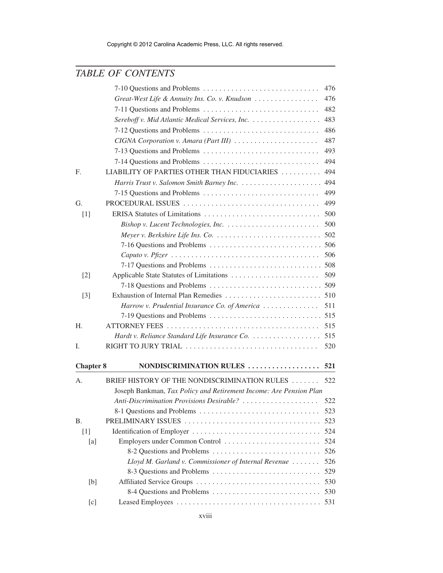|                  | 7-10 Questions and Problems                                        | 476        |
|------------------|--------------------------------------------------------------------|------------|
|                  | Great-West Life & Annuity Ins. Co. v. Knudson                      | 476        |
|                  |                                                                    | 482        |
|                  | Sereboff v. Mid Atlantic Medical Services, Inc.                    | 483        |
|                  | 7-12 Questions and Problems                                        | 486        |
|                  |                                                                    | 487        |
|                  |                                                                    | 493        |
|                  |                                                                    | 494        |
| F.               | LIABILITY OF PARTIES OTHER THAN FIDUCIARIES                        | 494        |
|                  |                                                                    | 494        |
|                  |                                                                    | 499        |
| G.               |                                                                    | 499        |
| $[1]$            |                                                                    | 500        |
|                  |                                                                    | 500        |
|                  |                                                                    |            |
|                  |                                                                    |            |
|                  |                                                                    | 506        |
|                  |                                                                    |            |
| $[2]$            |                                                                    | 509        |
|                  |                                                                    |            |
| $[3]$            |                                                                    |            |
|                  | Harrow v. Prudential Insurance Co. of America                      | 511        |
|                  |                                                                    |            |
| Н.               |                                                                    | 515        |
|                  | Hardt v. Reliance Standard Life Insurance Co. 515                  |            |
| Ι.               | RIGHT TO JURY TRIAL                                                | 520        |
| <b>Chapter 8</b> | NONDISCRIMINATION RULES  521                                       |            |
|                  |                                                                    |            |
| A.               | BRIEF HISTORY OF THE NONDISCRIMINATION RULES                       | 522        |
|                  | Joseph Bankman, Tax Policy and Retirement Income: Are Pension Plan |            |
|                  |                                                                    |            |
|                  |                                                                    | 523        |
| Β.               |                                                                    | 523        |
| $[1]$            |                                                                    |            |
| [a]              | Employers under Common Control                                     | 524        |
|                  |                                                                    | 526        |
|                  | Lloyd M. Garland v. Commissioner of Internal Revenue               | 526        |
|                  | 8-3 Questions and Problems                                         | 529<br>530 |
| [b]              |                                                                    |            |
|                  |                                                                    | 530        |
| [c]              |                                                                    |            |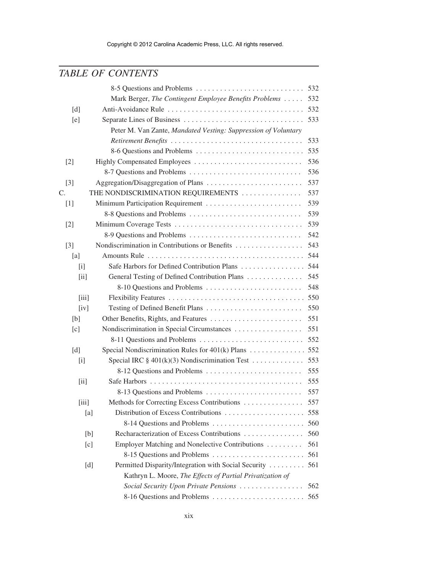|                            | 8-5 Questions and Problems                                     | 532 |
|----------------------------|----------------------------------------------------------------|-----|
|                            | Mark Berger, The Contingent Employee Benefits Problems         | 532 |
| [d]                        |                                                                | 532 |
| [e]                        | Separate Lines of Business                                     | 533 |
|                            | Peter M. Van Zante, Mandated Vesting: Suppression of Voluntary |     |
|                            |                                                                | 533 |
|                            |                                                                | 535 |
| $[2]$                      |                                                                | 536 |
|                            |                                                                | 536 |
| $[3]$                      | Aggregation/Disaggregation of Plans                            | 537 |
| C.                         | THE NONDISCRIMINATION REQUIREMENTS                             | 537 |
| $[1]$                      | Minimum Participation Requirement                              | 539 |
|                            |                                                                | 539 |
| $[2]$                      |                                                                | 539 |
|                            | 8-9 Questions and Problems                                     | 542 |
| $\lceil 3 \rceil$          | Nondiscrimination in Contributions or Benefits                 | 543 |
| [a]                        |                                                                | 544 |
| $\lceil i \rceil$          | Safe Harbors for Defined Contribution Plans                    | 544 |
| [ii]                       | General Testing of Defined Contribution Plans                  | 545 |
|                            | 8-10 Questions and Problems                                    | 548 |
| [iii]                      |                                                                | 550 |
| [iv]                       | Testing of Defined Benefit Plans                               | 550 |
| [b]                        |                                                                | 551 |
| [c]                        | Nondiscrimination in Special Circumstances                     | 551 |
|                            |                                                                | 552 |
| [d]                        |                                                                |     |
| $[1]$                      | Special IRC $\S$ 401(k)(3) Nondiscrimination Test              | 553 |
|                            | 8-12 Questions and Problems                                    | 555 |
| $\left[ \text{ii} \right]$ |                                                                | 555 |
|                            | 8-13 Questions and Problems                                    | 557 |
| [iii]                      | Methods for Correcting Excess Contributions                    | 557 |
| [a]                        |                                                                |     |
|                            |                                                                | 560 |
| [b]                        | Recharacterization of Excess Contributions                     | 560 |
| [c]                        | Employer Matching and Nonelective Contributions                | 561 |
|                            |                                                                | 561 |
| [d]                        | Permitted Disparity/Integration with Social Security  561      |     |
|                            | Kathryn L. Moore, The Effects of Partial Privatization of      |     |
|                            | Social Security Upon Private Pensions                          | 562 |
|                            | 8-16 Questions and Problems                                    | 565 |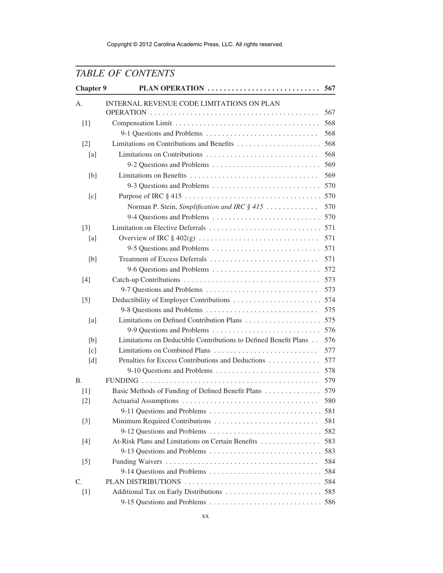Copyright © 2012 Carolina Academic Press, LLC. All rights reserved.

| <b>Chapter 9</b>  |                                                                                    |     |
|-------------------|------------------------------------------------------------------------------------|-----|
| A.                | <b>INTERNAL REVENUE CODE LIMITATIONS ON PLAN</b>                                   |     |
|                   |                                                                                    | 567 |
| $[1]$             |                                                                                    | 568 |
|                   |                                                                                    | 568 |
| $\lceil 2 \rceil$ | Limitations on Contributions and Benefits                                          | 568 |
| [a]               | Limitations on Contributions                                                       | 568 |
|                   | 9-2 Questions and Problems                                                         | 569 |
| [b]               | Limitations on Benefits                                                            | 569 |
|                   | 9-3 Questions and Problems $\dots \dots \dots \dots \dots \dots \dots \dots \dots$ | 570 |
| [c]               |                                                                                    |     |
|                   | Norman P. Stein, Simplification and IRC § 415                                      | 570 |
|                   | 9-4 Questions and Problems                                                         | 570 |
| $\lceil 3 \rceil$ |                                                                                    | 571 |
| [a]               |                                                                                    | 571 |
|                   |                                                                                    | 571 |
| [b]               | Treatment of Excess Deferrals                                                      | 571 |
|                   | 9-6 Questions and Problems                                                         | 572 |
| $[4]$             |                                                                                    | 573 |
|                   |                                                                                    | 573 |
| $\lceil 5 \rceil$ |                                                                                    | 574 |
|                   | 9-8 Questions and Problems                                                         | 575 |
| [a]               | Limitations on Defined Contribution Plans                                          | 575 |
|                   | 9-9 Questions and Problems                                                         | 576 |
| [b]               | Limitations on Deductible Contributions to Defined Benefit Plans                   | 576 |
| [c]               | Limitations on Combined Plans                                                      | 577 |
| [d]               | Penalties for Excess Contributions and Deductions                                  | 577 |
|                   | 9-10 Questions and Problems                                                        | 578 |
| <b>B.</b>         |                                                                                    | 579 |
| [1]               | Basic Methods of Funding of Defined Benefit Plans                                  | 579 |
| [2]               |                                                                                    | 580 |
|                   |                                                                                    |     |
| $[3]$             | Minimum Required Contributions                                                     | 581 |
|                   |                                                                                    | 582 |
| $[4]$             | At-Risk Plans and Limitations on Certain Benefits                                  | 583 |
|                   |                                                                                    | 583 |
| $[5]$             |                                                                                    | 584 |
|                   |                                                                                    | 584 |
| C.                | PLAN DISTRIBUTIONS                                                                 | 584 |
| $[1]$             |                                                                                    |     |
|                   |                                                                                    |     |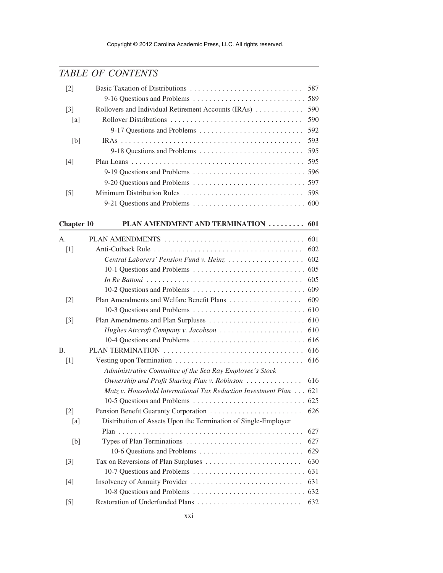| $\lceil 2 \rceil$ |                                                                                               | 587 |
|-------------------|-----------------------------------------------------------------------------------------------|-----|
|                   |                                                                                               |     |
| $[3]$             | Rollovers and Individual Retirement Accounts (IRAs)                                           | 590 |
| [a]               |                                                                                               | 590 |
|                   |                                                                                               | 592 |
| [b]               |                                                                                               | 593 |
|                   |                                                                                               | 595 |
| $[4]$             |                                                                                               | 595 |
|                   | 9-19 Questions and Problems $\dots \dots \dots \dots \dots \dots \dots \dots \dots \dots$ 596 |     |
|                   |                                                                                               |     |
| $[5]$             |                                                                                               |     |
|                   |                                                                                               |     |
| <b>Chapter 10</b> | PLAN AMENDMENT AND TERMINATION                                                                | 601 |
| А.                |                                                                                               |     |
| [1]               |                                                                                               | 602 |
|                   | Central Laborers' Pension Fund v. Heinz                                                       | 602 |
|                   |                                                                                               |     |
|                   |                                                                                               | 605 |
|                   |                                                                                               |     |
| $[2]$             | Plan Amendments and Welfare Benefit Plans                                                     | 609 |
|                   |                                                                                               |     |
| $[3]$             |                                                                                               |     |
|                   |                                                                                               |     |
|                   |                                                                                               |     |
| Β.                |                                                                                               |     |
| $[1]$             |                                                                                               |     |
|                   | Administrative Committee of the Sea Ray Employee's Stock                                      |     |
|                   | Ownership and Profit Sharing Plan v. Robinson                                                 | 616 |
|                   | Matz v. Household International Tax Reduction Investment Plan 621                             |     |
|                   |                                                                                               |     |
| $[2]$             | Pension Benefit Guaranty Corporation                                                          | 626 |
| [a]               | Distribution of Assets Upon the Termination of Single-Employer                                |     |
|                   |                                                                                               | 627 |
| [b]               | Types of Plan Terminations $\dots \dots \dots \dots \dots \dots \dots \dots \dots \dots$      | 627 |
|                   |                                                                                               | 629 |
| $[3]$             |                                                                                               | 630 |
|                   |                                                                                               |     |
| $[4]$             | Insolvency of Annuity Provider                                                                | 631 |
|                   | 10-8 Questions and Problems                                                                   | 632 |
| $[5]$             | Restoration of Underfunded Plans                                                              | 632 |